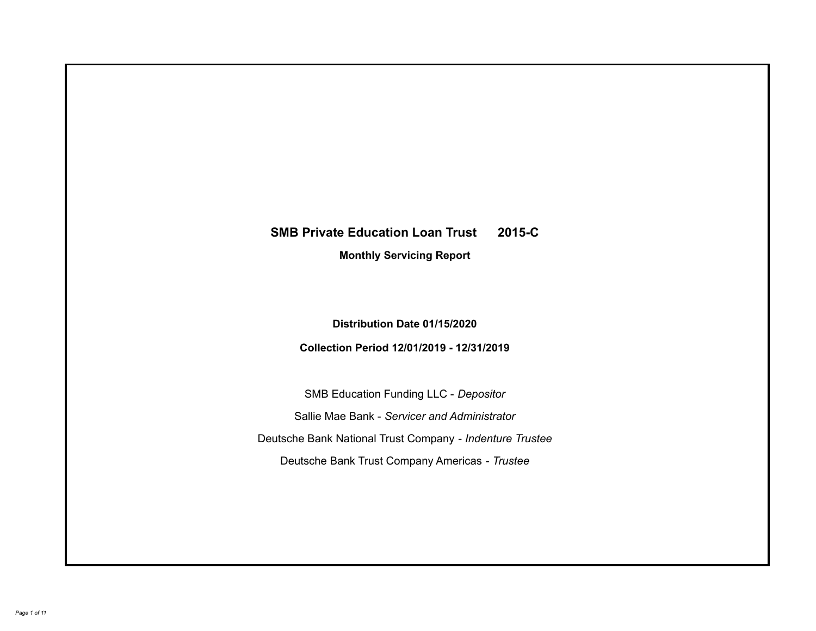# **SMB Private Education Loan Trust 2015-C Monthly Servicing Report**

**Distribution Date 01/15/2020**

**Collection Period 12/01/2019 - 12/31/2019**

SMB Education Funding LLC - *Depositor* Sallie Mae Bank - *Servicer and Administrator* Deutsche Bank National Trust Company - *Indenture Trustee* Deutsche Bank Trust Company Americas - *Trustee*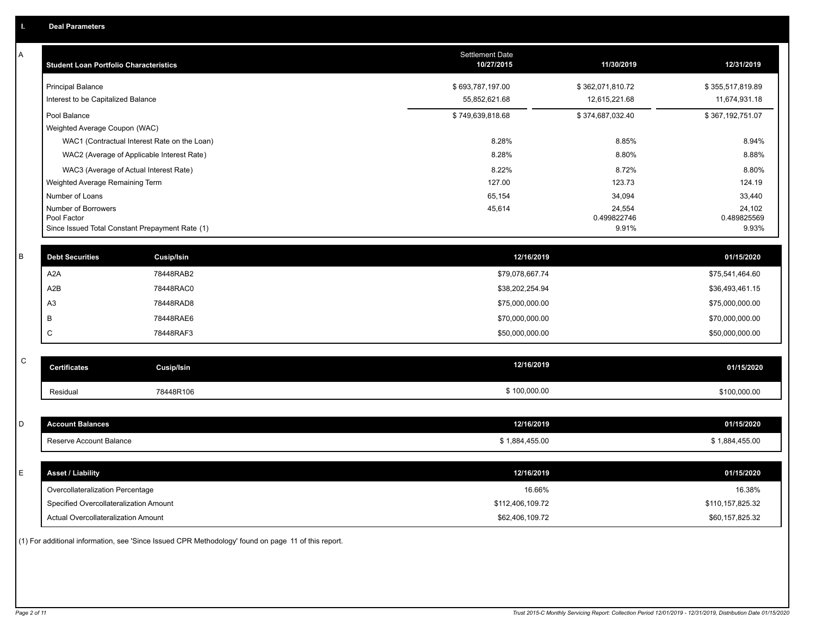| A           | <b>Student Loan Portfolio Characteristics</b>   |                   | <b>Settlement Date</b><br>10/27/2015 | 11/30/2019       | 12/31/2019       |
|-------------|-------------------------------------------------|-------------------|--------------------------------------|------------------|------------------|
|             | <b>Principal Balance</b>                        |                   | \$693,787,197.00                     | \$362,071,810.72 | \$355,517,819.89 |
|             | Interest to be Capitalized Balance              |                   | 55,852,621.68                        | 12,615,221.68    | 11,674,931.18    |
|             | Pool Balance                                    |                   | \$749,639,818.68                     | \$374,687,032.40 | \$367,192,751.07 |
|             | Weighted Average Coupon (WAC)                   |                   |                                      |                  |                  |
|             | WAC1 (Contractual Interest Rate on the Loan)    |                   | 8.28%                                | 8.85%            | 8.94%            |
|             | WAC2 (Average of Applicable Interest Rate)      |                   | 8.28%                                | 8.80%            | 8.88%            |
|             | WAC3 (Average of Actual Interest Rate)          |                   | 8.22%                                | 8.72%            | 8.80%            |
|             | Weighted Average Remaining Term                 |                   | 127.00                               | 123.73           | 124.19           |
|             | Number of Loans<br>Number of Borrowers          |                   | 65,154<br>45,614                     | 34,094<br>24,554 | 33,440<br>24,102 |
|             | Pool Factor                                     |                   |                                      | 0.499822746      | 0.489825569      |
|             | Since Issued Total Constant Prepayment Rate (1) |                   |                                      | 9.91%            | 9.93%            |
| $\sf B$     | <b>Debt Securities</b>                          | <b>Cusip/Isin</b> | 12/16/2019                           |                  | 01/15/2020       |
|             | A <sub>2</sub> A                                | 78448RAB2         | \$79,078,667.74                      |                  | \$75,541,464.60  |
|             | A <sub>2</sub> B                                | 78448RAC0         | \$38,202,254.94                      |                  | \$36,493,461.15  |
|             | A3                                              | 78448RAD8         | \$75,000,000.00                      |                  | \$75,000,000.00  |
|             | B                                               | 78448RAE6         | \$70,000,000.00                      |                  | \$70,000,000.00  |
|             | C                                               | 78448RAF3         |                                      |                  |                  |
|             |                                                 |                   | \$50,000,000.00                      |                  | \$50,000,000.00  |
| $\mathsf C$ | <b>Certificates</b>                             | Cusip/Isin        | 12/16/2019                           |                  | 01/15/2020       |
|             |                                                 |                   |                                      |                  |                  |
|             | Residual                                        | 78448R106         | \$100,000.00                         |                  | \$100,000.00     |
|             |                                                 |                   |                                      |                  |                  |
| D           | <b>Account Balances</b>                         |                   | 12/16/2019                           |                  | 01/15/2020       |
|             | Reserve Account Balance                         |                   | \$1,884,455.00                       |                  | \$1,884,455.00   |
|             |                                                 |                   |                                      |                  |                  |
| Ε           | <b>Asset / Liability</b>                        |                   | 12/16/2019                           |                  | 01/15/2020       |
|             | Overcollateralization Percentage                |                   | 16.66%                               |                  | 16.38%           |
|             | Specified Overcollateralization Amount          |                   | \$112,406,109.72                     |                  | \$110,157,825.32 |
|             | Actual Overcollateralization Amount             |                   | \$62,406,109.72                      |                  | \$60,157,825.32  |
|             |                                                 |                   |                                      |                  |                  |

(1) For additional information, see 'Since Issued CPR Methodology' found on page 11 of this report.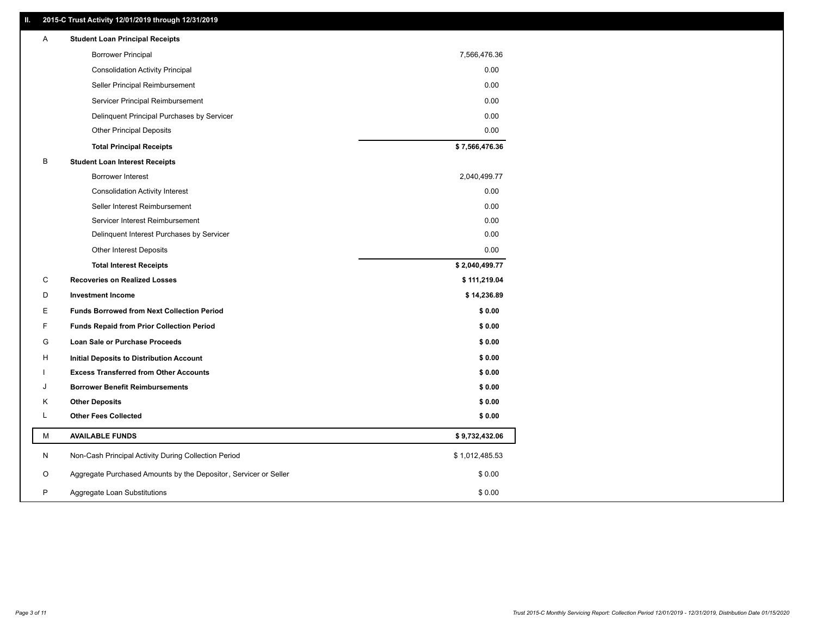# **II. 2015-C Trust Activity 12/01/2019 through 12/31/2019**

| Α<br><b>Student Loan Principal Receipts</b>                                     |  |
|---------------------------------------------------------------------------------|--|
| <b>Borrower Principal</b><br>7,566,476.36                                       |  |
| 0.00<br><b>Consolidation Activity Principal</b>                                 |  |
| Seller Principal Reimbursement<br>0.00                                          |  |
| 0.00<br>Servicer Principal Reimbursement                                        |  |
| 0.00<br>Delinquent Principal Purchases by Servicer                              |  |
| 0.00<br><b>Other Principal Deposits</b>                                         |  |
| \$7,566,476.36<br><b>Total Principal Receipts</b>                               |  |
| B<br><b>Student Loan Interest Receipts</b>                                      |  |
| 2,040,499.77<br>Borrower Interest                                               |  |
| 0.00<br><b>Consolidation Activity Interest</b>                                  |  |
| Seller Interest Reimbursement<br>0.00                                           |  |
| 0.00<br>Servicer Interest Reimbursement                                         |  |
| Delinquent Interest Purchases by Servicer<br>0.00                               |  |
| Other Interest Deposits<br>0.00                                                 |  |
| \$2,040,499.77<br><b>Total Interest Receipts</b>                                |  |
| C<br><b>Recoveries on Realized Losses</b><br>\$111,219.04                       |  |
| \$14,236.89<br>D<br><b>Investment Income</b>                                    |  |
| <b>Funds Borrowed from Next Collection Period</b><br>\$0.00<br>Е                |  |
| F<br><b>Funds Repaid from Prior Collection Period</b><br>\$0.00                 |  |
| G<br>\$0.00<br>Loan Sale or Purchase Proceeds                                   |  |
| н<br>\$0.00<br>Initial Deposits to Distribution Account                         |  |
| <b>Excess Transferred from Other Accounts</b><br>\$0.00                         |  |
| <b>Borrower Benefit Reimbursements</b><br>\$0.00<br>J                           |  |
| <b>Other Deposits</b><br>\$0.00<br>Κ                                            |  |
| L<br><b>Other Fees Collected</b><br>\$0.00                                      |  |
| M<br><b>AVAILABLE FUNDS</b><br>\$9,732,432.06                                   |  |
| N<br>Non-Cash Principal Activity During Collection Period<br>\$1,012,485.53     |  |
| Aggregate Purchased Amounts by the Depositor, Servicer or Seller<br>O<br>\$0.00 |  |
| P<br>\$0.00<br>Aggregate Loan Substitutions                                     |  |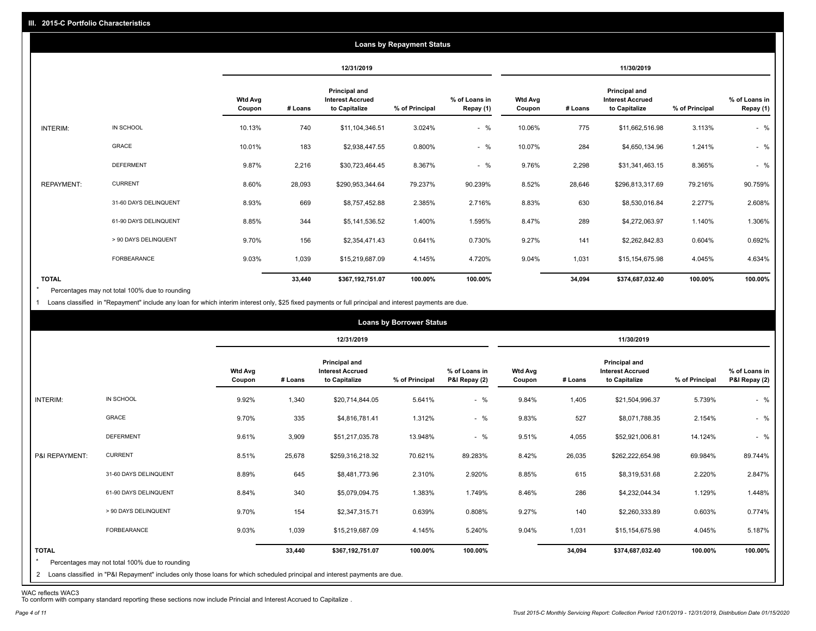|                   |                       |                          |         |                                                           | <b>Loans by Repayment Status</b> |                            |                          |         |                                                           |                |                            |
|-------------------|-----------------------|--------------------------|---------|-----------------------------------------------------------|----------------------------------|----------------------------|--------------------------|---------|-----------------------------------------------------------|----------------|----------------------------|
|                   |                       |                          |         | 12/31/2019                                                |                                  |                            |                          |         | 11/30/2019                                                |                |                            |
|                   |                       | <b>Wtd Avg</b><br>Coupon | # Loans | Principal and<br><b>Interest Accrued</b><br>to Capitalize | % of Principal                   | % of Loans in<br>Repay (1) | <b>Wtd Avg</b><br>Coupon | # Loans | Principal and<br><b>Interest Accrued</b><br>to Capitalize | % of Principal | % of Loans in<br>Repay (1) |
| INTERIM:          | IN SCHOOL             | 10.13%                   | 740     | \$11,104,346.51                                           | 3.024%                           | $-$ %                      | 10.06%                   | 775     | \$11,662,516.98                                           | 3.113%         | $-$ %                      |
|                   | GRACE                 | 10.01%                   | 183     | \$2,938,447.55                                            | 0.800%                           | $-$ %                      | 10.07%                   | 284     | \$4,650,134.96                                            | 1.241%         | $-$ %                      |
|                   | <b>DEFERMENT</b>      | 9.87%                    | 2,216   | \$30,723,464.45                                           | 8.367%                           | $-$ %                      | 9.76%                    | 2,298   | \$31,341,463.15                                           | 8.365%         | $-$ %                      |
| <b>REPAYMENT:</b> | <b>CURRENT</b>        | 8.60%                    | 28,093  | \$290,953,344.64                                          | 79.237%                          | 90.239%                    | 8.52%                    | 28,646  | \$296,813,317.69                                          | 79.216%        | 90.759%                    |
|                   | 31-60 DAYS DELINQUENT | 8.93%                    | 669     | \$8,757,452.88                                            | 2.385%                           | 2.716%                     | 8.83%                    | 630     | \$8,530,016.84                                            | 2.277%         | 2.608%                     |
|                   | 61-90 DAYS DELINQUENT | 8.85%                    | 344     | \$5,141,536.52                                            | 1.400%                           | 1.595%                     | 8.47%                    | 289     | \$4,272,063.97                                            | 1.140%         | 1.306%                     |
|                   | > 90 DAYS DELINQUENT  | 9.70%                    | 156     | \$2,354,471.43                                            | 0.641%                           | 0.730%                     | 9.27%                    | 141     | \$2,262,842.83                                            | 0.604%         | 0.692%                     |
|                   | FORBEARANCE           | 9.03%                    | 1,039   | \$15,219,687.09                                           | 4.145%                           | 4.720%                     | 9.04%                    | 1,031   | \$15,154,675.98                                           | 4.045%         | 4.634%                     |
| <b>TOTAL</b>      |                       |                          | 33,440  | \$367,192,751.07                                          | 100.00%                          | 100.00%                    |                          | 34,094  | \$374,687,032.40                                          | 100.00%        | 100.00%                    |

Percentages may not total 100% due to rounding  $\star$ 

1 Loans classified in "Repayment" include any loan for which interim interest only, \$25 fixed payments or full principal and interest payments are due.

|                         |                                                                                                                                                                                |                          |         |                                                                  | <b>Loans by Borrower Status</b> |                                |                          |         |                                                           |                |                                |
|-------------------------|--------------------------------------------------------------------------------------------------------------------------------------------------------------------------------|--------------------------|---------|------------------------------------------------------------------|---------------------------------|--------------------------------|--------------------------|---------|-----------------------------------------------------------|----------------|--------------------------------|
|                         |                                                                                                                                                                                |                          |         | 12/31/2019                                                       |                                 |                                |                          |         | 11/30/2019                                                |                |                                |
|                         |                                                                                                                                                                                | <b>Wtd Avg</b><br>Coupon | # Loans | <b>Principal and</b><br><b>Interest Accrued</b><br>to Capitalize | % of Principal                  | % of Loans in<br>P&I Repay (2) | <b>Wtd Avg</b><br>Coupon | # Loans | Principal and<br><b>Interest Accrued</b><br>to Capitalize | % of Principal | % of Loans in<br>P&I Repay (2) |
| INTERIM:                | IN SCHOOL                                                                                                                                                                      | 9.92%                    | 1,340   | \$20,714,844.05                                                  | 5.641%                          | $-$ %                          | 9.84%                    | 1,405   | \$21,504,996.37                                           | 5.739%         | $-$ %                          |
|                         | GRACE                                                                                                                                                                          | 9.70%                    | 335     | \$4,816,781.41                                                   | 1.312%                          | $-$ %                          | 9.83%                    | 527     | \$8,071,788.35                                            | 2.154%         | $-$ %                          |
|                         | <b>DEFERMENT</b>                                                                                                                                                               | 9.61%                    | 3,909   | \$51,217,035.78                                                  | 13.948%                         | $-$ %                          | 9.51%                    | 4,055   | \$52,921,006.81                                           | 14.124%        | $-$ %                          |
| P&I REPAYMENT:          | <b>CURRENT</b>                                                                                                                                                                 | 8.51%                    | 25,678  | \$259,316,218.32                                                 | 70.621%                         | 89.283%                        | 8.42%                    | 26,035  | \$262,222,654.98                                          | 69.984%        | 89.744%                        |
|                         | 31-60 DAYS DELINQUENT                                                                                                                                                          | 8.89%                    | 645     | \$8,481,773.96                                                   | 2.310%                          | 2.920%                         | 8.85%                    | 615     | \$8,319,531.68                                            | 2.220%         | 2.847%                         |
|                         | 61-90 DAYS DELINQUENT                                                                                                                                                          | 8.84%                    | 340     | \$5,079,094.75                                                   | 1.383%                          | 1.749%                         | 8.46%                    | 286     | \$4,232,044.34                                            | 1.129%         | 1.448%                         |
|                         | > 90 DAYS DELINQUENT                                                                                                                                                           | 9.70%                    | 154     | \$2,347,315.71                                                   | 0.639%                          | 0.808%                         | 9.27%                    | 140     | \$2,260,333.89                                            | 0.603%         | 0.774%                         |
|                         | FORBEARANCE                                                                                                                                                                    | 9.03%                    | 1,039   | \$15,219,687.09                                                  | 4.145%                          | 5.240%                         | 9.04%                    | 1,031   | \$15,154,675.98                                           | 4.045%         | 5.187%                         |
| <b>TOTAL</b><br>$\star$ | Percentages may not total 100% due to rounding<br>2 Loans classified in "P&I Repayment" includes only those loans for which scheduled principal and interest payments are due. |                          | 33,440  | \$367,192,751.07                                                 | 100.00%                         | 100.00%                        |                          | 34,094  | \$374,687,032.40                                          | 100.00%        | 100.00%                        |

WAC reflects WAC3 To conform with company standard reporting these sections now include Princial and Interest Accrued to Capitalize .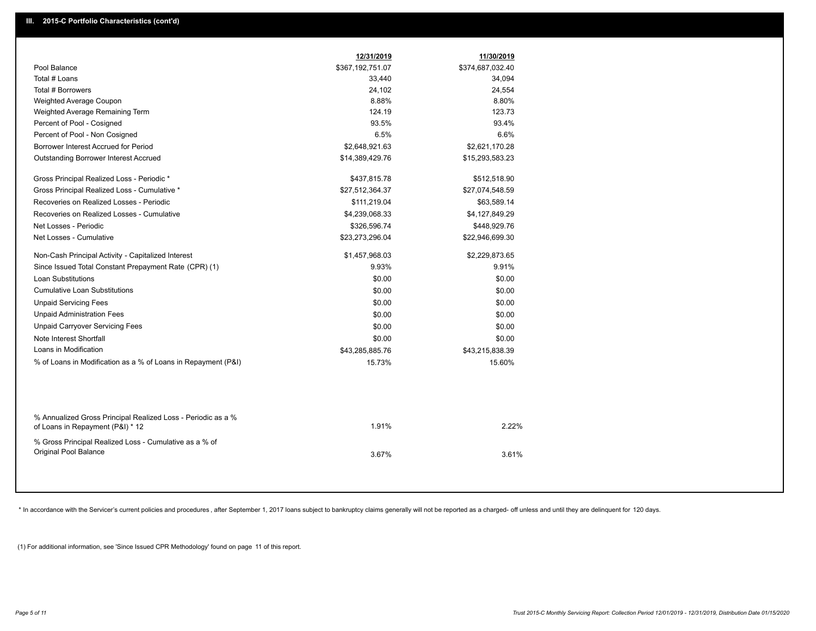|                                                                                                  | 12/31/2019       | 11/30/2019       |  |
|--------------------------------------------------------------------------------------------------|------------------|------------------|--|
| Pool Balance                                                                                     | \$367,192,751.07 | \$374,687,032.40 |  |
| Total # Loans                                                                                    | 33,440           | 34,094           |  |
| Total # Borrowers                                                                                | 24,102           | 24,554           |  |
| Weighted Average Coupon                                                                          | 8.88%            | 8.80%            |  |
| Weighted Average Remaining Term                                                                  | 124.19           | 123.73           |  |
| Percent of Pool - Cosigned                                                                       | 93.5%            | 93.4%            |  |
| Percent of Pool - Non Cosigned                                                                   | 6.5%             | 6.6%             |  |
| Borrower Interest Accrued for Period                                                             | \$2,648,921.63   | \$2,621,170.28   |  |
| <b>Outstanding Borrower Interest Accrued</b>                                                     | \$14,389,429.76  | \$15,293,583.23  |  |
| Gross Principal Realized Loss - Periodic *                                                       | \$437,815.78     | \$512,518.90     |  |
| Gross Principal Realized Loss - Cumulative *                                                     | \$27,512,364.37  | \$27,074,548.59  |  |
| Recoveries on Realized Losses - Periodic                                                         | \$111,219.04     | \$63,589.14      |  |
| Recoveries on Realized Losses - Cumulative                                                       | \$4,239,068.33   | \$4,127,849.29   |  |
| Net Losses - Periodic                                                                            | \$326,596.74     | \$448,929.76     |  |
| Net Losses - Cumulative                                                                          | \$23,273,296.04  | \$22,946,699.30  |  |
| Non-Cash Principal Activity - Capitalized Interest                                               | \$1,457,968.03   | \$2,229,873.65   |  |
| Since Issued Total Constant Prepayment Rate (CPR) (1)                                            | 9.93%            | 9.91%            |  |
| <b>Loan Substitutions</b>                                                                        | \$0.00           | \$0.00           |  |
| <b>Cumulative Loan Substitutions</b>                                                             | \$0.00           | \$0.00           |  |
| <b>Unpaid Servicing Fees</b>                                                                     | \$0.00           | \$0.00           |  |
| <b>Unpaid Administration Fees</b>                                                                | \$0.00           | \$0.00           |  |
| <b>Unpaid Carryover Servicing Fees</b>                                                           | \$0.00           | \$0.00           |  |
| Note Interest Shortfall                                                                          | \$0.00           | \$0.00           |  |
| Loans in Modification                                                                            | \$43,285,885.76  | \$43,215,838.39  |  |
| % of Loans in Modification as a % of Loans in Repayment (P&I)                                    | 15.73%           | 15.60%           |  |
|                                                                                                  |                  |                  |  |
| % Annualized Gross Principal Realized Loss - Periodic as a %<br>of Loans in Repayment (P&I) * 12 | 1.91%            | 2.22%            |  |
| % Gross Principal Realized Loss - Cumulative as a % of<br>Original Pool Balance                  | 3.67%            | 3.61%            |  |
|                                                                                                  |                  |                  |  |

\* In accordance with the Servicer's current policies and procedures, after September 1, 2017 loans subject to bankruptcy claims generally will not be reported as a charged- off unless and until they are delinquent for 120

(1) For additional information, see 'Since Issued CPR Methodology' found on page 11 of this report.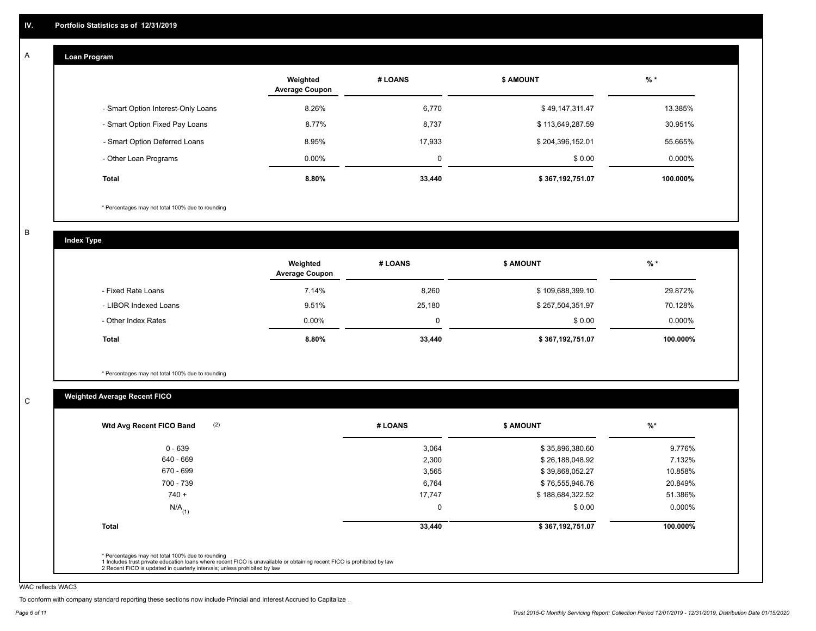#### **Loan Program**  A

|                                    | Weighted<br><b>Average Coupon</b> | # LOANS     | <b>\$ AMOUNT</b> | $%$ *    |
|------------------------------------|-----------------------------------|-------------|------------------|----------|
| - Smart Option Interest-Only Loans | 8.26%                             | 6,770       | \$49,147,311.47  | 13.385%  |
| - Smart Option Fixed Pay Loans     | 8.77%                             | 8,737       | \$113,649,287.59 | 30.951%  |
| - Smart Option Deferred Loans      | 8.95%                             | 17.933      | \$204,396,152.01 | 55.665%  |
| - Other Loan Programs              | $0.00\%$                          | $\mathbf 0$ | \$0.00           | 0.000%   |
| <b>Total</b>                       | 8.80%                             | 33,440      | \$367,192,751.07 | 100.000% |

\* Percentages may not total 100% due to rounding

B

C

**Index Type**

|                       | Weighted<br><b>Average Coupon</b> | # LOANS  | <b>\$ AMOUNT</b> | $%$ *     |
|-----------------------|-----------------------------------|----------|------------------|-----------|
| - Fixed Rate Loans    | 7.14%                             | 8,260    | \$109,688,399.10 | 29.872%   |
| - LIBOR Indexed Loans | 9.51%                             | 25,180   | \$257,504,351.97 | 70.128%   |
| - Other Index Rates   | $0.00\%$                          | $\Omega$ | \$0.00           | $0.000\%$ |
| <b>Total</b>          | 8.80%                             | 33,440   | \$367,192,751.07 | 100.000%  |

\* Percentages may not total 100% due to rounding

# **Weighted Average Recent FICO**

| (2)<br>Wtd Avg Recent FICO Band | # LOANS | <b>\$ AMOUNT</b> | $%$ *     |
|---------------------------------|---------|------------------|-----------|
| $0 - 639$                       | 3,064   | \$35,896,380.60  | 9.776%    |
| 640 - 669                       | 2,300   | \$26,188,048.92  | 7.132%    |
| 670 - 699                       | 3,565   | \$39,868,052.27  | 10.858%   |
| 700 - 739                       | 6,764   | \$76,555,946.76  | 20.849%   |
| $740 +$                         | 17,747  | \$188,684,322.52 | 51.386%   |
| $N/A$ <sub>(1)</sub>            | 0       | \$0.00           | $0.000\%$ |
| <b>Total</b>                    | 33,440  | \$367,192,751.07 | 100.000%  |

WAC reflects WAC3

To conform with company standard reporting these sections now include Princial and Interest Accrued to Capitalize .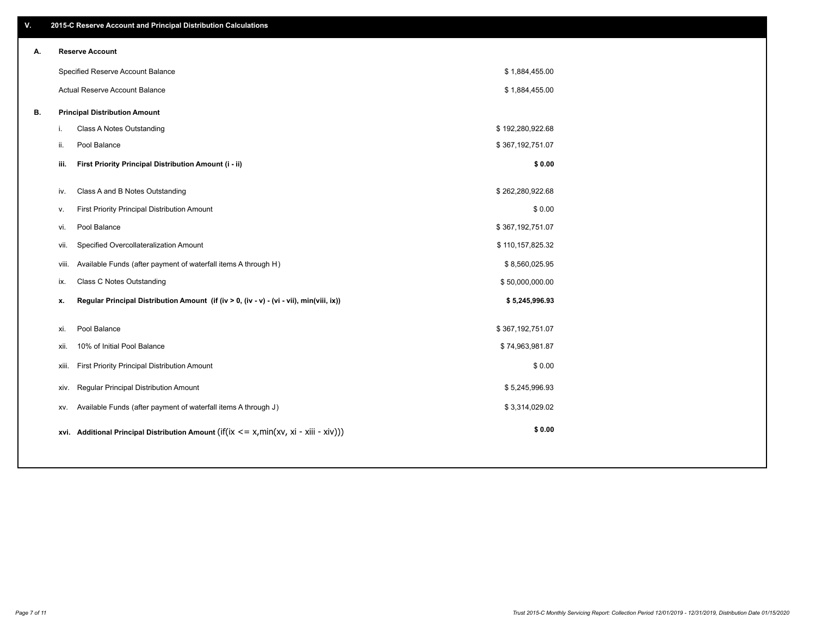| V. | 2015-C Reserve Account and Principal Distribution Calculations                                 |                  |  |
|----|------------------------------------------------------------------------------------------------|------------------|--|
| А. | <b>Reserve Account</b>                                                                         |                  |  |
|    | Specified Reserve Account Balance                                                              | \$1,884,455.00   |  |
|    | <b>Actual Reserve Account Balance</b>                                                          | \$1,884,455.00   |  |
| В. | <b>Principal Distribution Amount</b>                                                           |                  |  |
|    | Class A Notes Outstanding<br>i.                                                                | \$192,280,922.68 |  |
|    | Pool Balance<br>ii.                                                                            | \$367,192,751.07 |  |
|    | First Priority Principal Distribution Amount (i - ii)<br>iii.                                  | \$0.00           |  |
|    | Class A and B Notes Outstanding<br>iv.                                                         | \$262,280,922.68 |  |
|    | First Priority Principal Distribution Amount<br>v.                                             | \$0.00           |  |
|    | Pool Balance<br>vi.                                                                            | \$367,192,751.07 |  |
|    | Specified Overcollateralization Amount<br>vii.                                                 | \$110,157,825.32 |  |
|    | Available Funds (after payment of waterfall items A through H)<br>viii.                        | \$8,560,025.95   |  |
|    | Class C Notes Outstanding<br>ix.                                                               | \$50,000,000.00  |  |
|    | Regular Principal Distribution Amount (if (iv > 0, (iv - v) - (vi - vii), min(viii, ix))<br>x. | \$5,245,996.93   |  |
|    |                                                                                                |                  |  |
|    | Pool Balance<br>xi.                                                                            | \$367,192,751.07 |  |
|    | 10% of Initial Pool Balance<br>xii.                                                            | \$74,963,981.87  |  |
|    | First Priority Principal Distribution Amount<br>xiii.                                          | \$0.00           |  |
|    | Regular Principal Distribution Amount<br>XIV.                                                  | \$5,245,996.93   |  |
|    | Available Funds (after payment of waterfall items A through J)<br>XV.                          | \$3,314,029.02   |  |
|    | xvi. Additional Principal Distribution Amount (if(ix $\lt$ = x, min(xv, xi - xiii - xiv)))     | \$0.00           |  |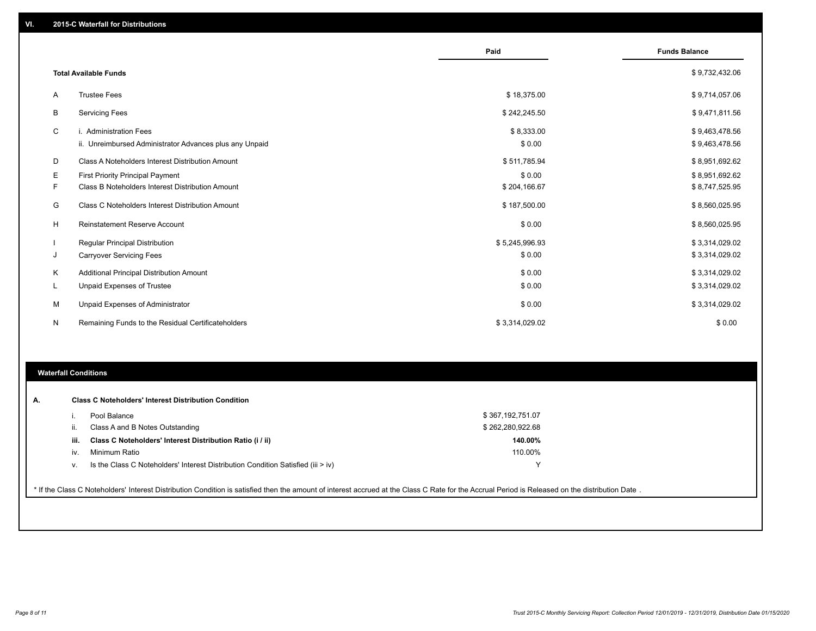|    |                                                         | Paid           | <b>Funds Balance</b> |
|----|---------------------------------------------------------|----------------|----------------------|
|    | <b>Total Available Funds</b>                            |                | \$9,732,432.06       |
| A  | <b>Trustee Fees</b>                                     | \$18,375.00    | \$9,714,057.06       |
| В  | <b>Servicing Fees</b>                                   | \$242,245.50   | \$9,471,811.56       |
| C  | i. Administration Fees                                  | \$8,333.00     | \$9,463,478.56       |
|    | ii. Unreimbursed Administrator Advances plus any Unpaid | \$0.00         | \$9,463,478.56       |
| D  | Class A Noteholders Interest Distribution Amount        | \$511,785.94   | \$8,951,692.62       |
| Е  | <b>First Priority Principal Payment</b>                 | \$0.00         | \$8,951,692.62       |
| F. | Class B Noteholders Interest Distribution Amount        | \$204,166.67   | \$8,747,525.95       |
| G  | <b>Class C Noteholders Interest Distribution Amount</b> | \$187,500.00   | \$8,560,025.95       |
| н  | <b>Reinstatement Reserve Account</b>                    | \$0.00         | \$8,560,025.95       |
|    | Regular Principal Distribution                          | \$5,245,996.93 | \$3,314,029.02       |
| J  | <b>Carryover Servicing Fees</b>                         | \$0.00         | \$3,314,029.02       |
| K  | Additional Principal Distribution Amount                | \$0.00         | \$3,314,029.02       |
| L  | Unpaid Expenses of Trustee                              | \$0.00         | \$3,314,029.02       |
| м  | Unpaid Expenses of Administrator                        | \$0.00         | \$3,314,029.02       |
| N  | Remaining Funds to the Residual Certificateholders      | \$3,314,029.02 | \$0.00               |

# **Waterfall Conditions**

|      | Pool Balance                                                                       | \$367,192,751.07 |
|------|------------------------------------------------------------------------------------|------------------|
| Ш.   | Class A and B Notes Outstanding                                                    | \$262,280,922.68 |
| iii. | Class C Noteholders' Interest Distribution Ratio (i / ii)                          | 140.00%          |
| IV.  | Minimum Ratio                                                                      | 110.00%          |
| v.   | Is the Class C Noteholders' Interest Distribution Condition Satisfied (iii $>$ iv) |                  |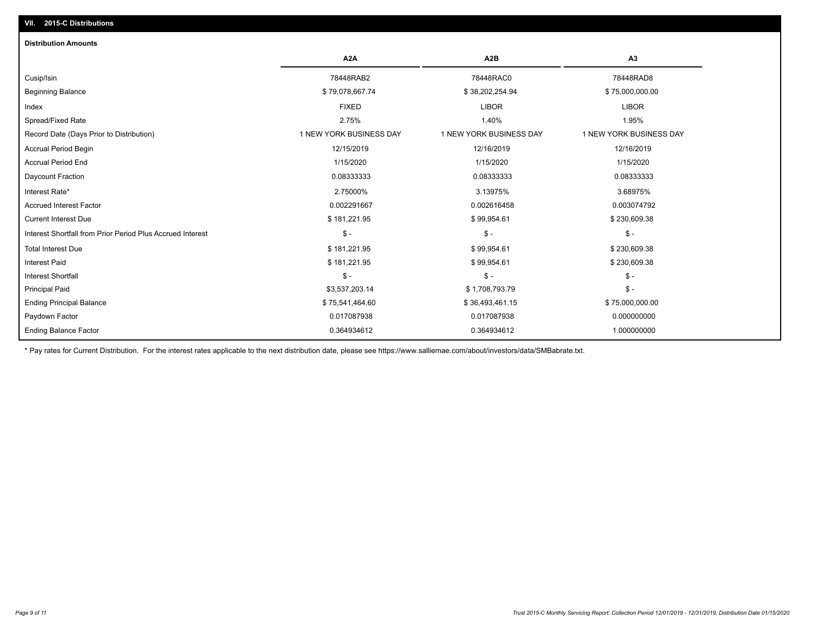# **VII. 2015-C Distributions**

| <b>Distribution Amounts</b>                                |                         |                         |                         |
|------------------------------------------------------------|-------------------------|-------------------------|-------------------------|
|                                                            | A <sub>2</sub> A        | A <sub>2</sub> B        | A <sub>3</sub>          |
| Cusip/Isin                                                 | 78448RAB2               | 78448RAC0               | 78448RAD8               |
| <b>Beginning Balance</b>                                   | \$79,078,667.74         | \$38,202,254.94         | \$75,000,000.00         |
| Index                                                      | <b>FIXED</b>            | <b>LIBOR</b>            | <b>LIBOR</b>            |
| Spread/Fixed Rate                                          | 2.75%                   | 1.40%                   | 1.95%                   |
| Record Date (Days Prior to Distribution)                   | 1 NEW YORK BUSINESS DAY | 1 NEW YORK BUSINESS DAY | 1 NEW YORK BUSINESS DAY |
| <b>Accrual Period Begin</b>                                | 12/15/2019              | 12/16/2019              | 12/16/2019              |
| <b>Accrual Period End</b>                                  | 1/15/2020               | 1/15/2020               | 1/15/2020               |
| Daycount Fraction                                          | 0.08333333              | 0.08333333              | 0.08333333              |
| Interest Rate*                                             | 2.75000%                | 3.13975%                | 3.68975%                |
| <b>Accrued Interest Factor</b>                             | 0.002291667             | 0.002616458             | 0.003074792             |
| <b>Current Interest Due</b>                                | \$181,221.95            | \$99,954.61             | \$230,609.38            |
| Interest Shortfall from Prior Period Plus Accrued Interest | $\mathsf{\$}$ -         | $\mathsf{\$}$ -         | $\mathsf{\$}$ -         |
| <b>Total Interest Due</b>                                  | \$181,221.95            | \$99,954.61             | \$230,609.38            |
| <b>Interest Paid</b>                                       | \$181,221.95            | \$99,954.61             | \$230,609.38            |
| <b>Interest Shortfall</b>                                  | $\frac{1}{2}$           | $\mathcal{S}$ -         | $$ -$                   |
| <b>Principal Paid</b>                                      | \$3,537,203.14          | \$1,708,793.79          | $\frac{1}{2}$           |
| <b>Ending Principal Balance</b>                            | \$75,541,464.60         | \$36,493,461.15         | \$75,000,000.00         |
| Paydown Factor                                             | 0.017087938             | 0.017087938             | 0.000000000             |
| <b>Ending Balance Factor</b>                               | 0.364934612             | 0.364934612             | 1.000000000             |

\* Pay rates for Current Distribution. For the interest rates applicable to the next distribution date, please see https://www.salliemae.com/about/investors/data/SMBabrate.txt.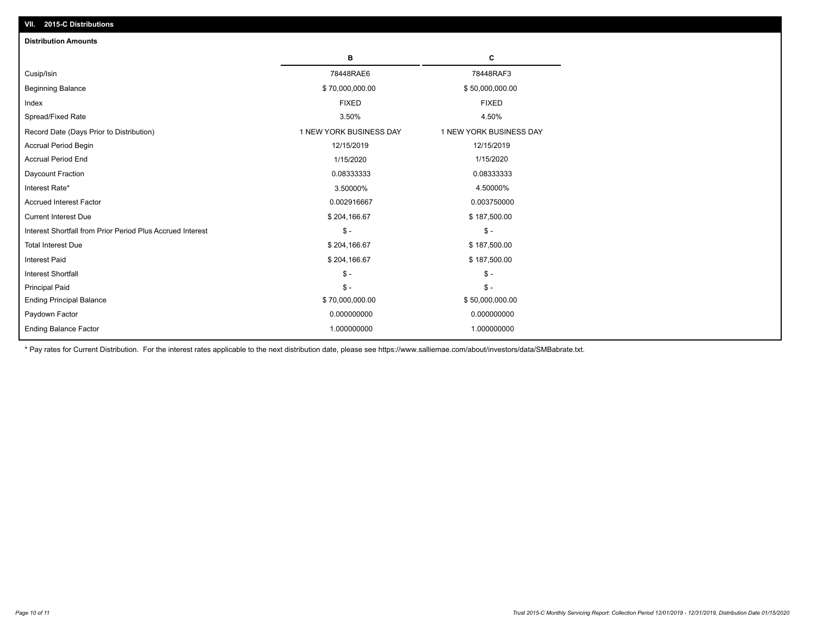| <b>Distribution Amounts</b>                                |                         |                         |
|------------------------------------------------------------|-------------------------|-------------------------|
|                                                            | в                       | C                       |
| Cusip/Isin                                                 | 78448RAE6               | 78448RAF3               |
| <b>Beginning Balance</b>                                   | \$70,000,000.00         | \$50,000,000.00         |
| Index                                                      | <b>FIXED</b>            | <b>FIXED</b>            |
| Spread/Fixed Rate                                          | 3.50%                   | 4.50%                   |
| Record Date (Days Prior to Distribution)                   | 1 NEW YORK BUSINESS DAY | 1 NEW YORK BUSINESS DAY |
| <b>Accrual Period Begin</b>                                | 12/15/2019              | 12/15/2019              |
| <b>Accrual Period End</b>                                  | 1/15/2020               | 1/15/2020               |
| Daycount Fraction                                          | 0.08333333              | 0.08333333              |
| Interest Rate*                                             | 3.50000%                | 4.50000%                |
| <b>Accrued Interest Factor</b>                             | 0.002916667             | 0.003750000             |
| <b>Current Interest Due</b>                                | \$204,166.67            | \$187,500.00            |
| Interest Shortfall from Prior Period Plus Accrued Interest | $\mathsf{\$}$ -         | $\frac{1}{2}$           |
| <b>Total Interest Due</b>                                  | \$204,166.67            | \$187,500.00            |
| Interest Paid                                              | \$204,166.67            | \$187,500.00            |
| <b>Interest Shortfall</b>                                  | $\mathsf{\$}$ -         | $\frac{1}{2}$           |
| <b>Principal Paid</b>                                      | $\mathsf{\$}$ -         | $\mathsf{\$}$ -         |
| <b>Ending Principal Balance</b>                            | \$70,000,000.00         | \$50,000,000.00         |
| Paydown Factor                                             | 0.000000000             | 0.000000000             |
| <b>Ending Balance Factor</b>                               | 1.000000000             | 1.000000000             |

\* Pay rates for Current Distribution. For the interest rates applicable to the next distribution date, please see https://www.salliemae.com/about/investors/data/SMBabrate.txt.

**VII. 2015-C Distributions**